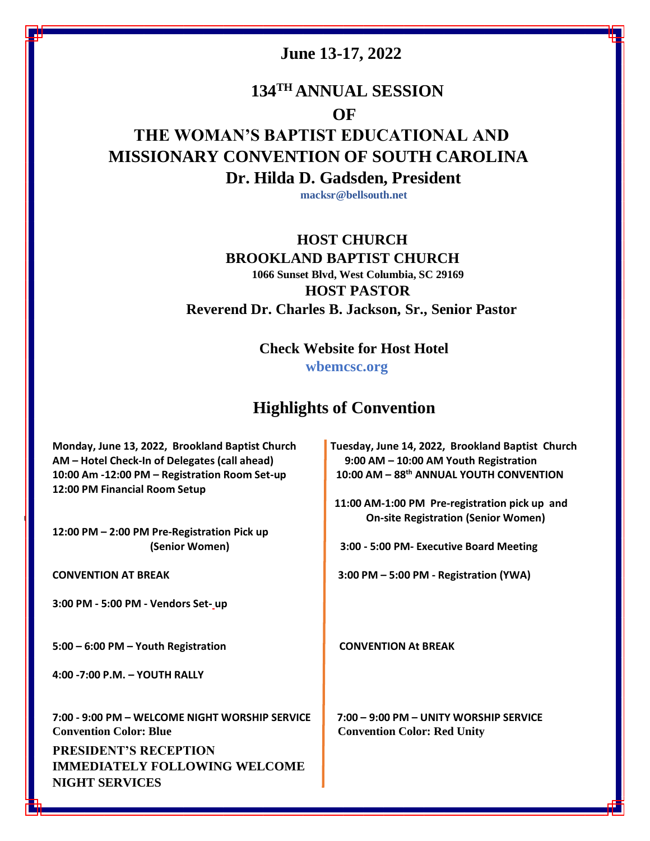### **June 13-17, 2022**

## **134TH ANNUAL SESSION OF THE WOMAN'S BAPTIST EDUCATIONAL AND**

# **MISSIONARY CONVENTION OF SOUTH CAROLINA Dr. Hilda D. Gadsden, President**

**macksr@bellsouth.net**

#### **HOST CHURCH BROOKLAND BAPTIST CHURCH**

**1066 Sunset [Blvd, West Columbia, SC 29169](https://www.bing.com/local?lid=YN787x43573149&id=YN787x43573149&q=Brookland+Baptist+Church&name=Brookland+Baptist+Church&cp=33.99812316894531%7e-81.07369995117188&ppois=33.99812316894531_-81.07369995117188_Brookland+Baptist+Church) HOST PASTOR Reverend Dr. Charles B. Jackson, Sr., Senior Pastor**

 **Check Website for Host Hotel** 

**wbemcsc.org**

### **Highlights of Convention**

**Monday, June 13, 2022, Brookland Baptist Church Tuesday, June 14, 2022, Brookland Baptist Church AM – Hotel Check-In of Delegates (call ahead) 9:00 AM – 10:00 AM Youth Registration 10:00 Am -12:00 PM – Registration Room Set-up 10:00 AM – 88th ANNUAL YOUTH CONVENTION 12:00 PM Financial Room Setup**

**12:00 PM – 2:00 PM Pre-Registration Pick up** 

**3:00 PM - 5:00 PM - Vendors Set- up** 

**5:00 – 6:00 PM – Youth Registration CONVENTION At BREAK**

**4:00 -7:00 P.M. – YOUTH RALLY** 

**7:00 - 9:00 PM – WELCOME NIGHT WORSHIP SERVICE 7:00 – 9:00 PM – UNITY WORSHIP SERVICE Convention Color: Blue Convention Color: Red Unity** 

 **PRESIDENT'S RECEPTION IMMEDIATELY FOLLOWING WELCOME NIGHT SERVICES** 

 **11:00 AM-1:00 PM Pre-registration pick up and up On-site Registration (Senior Women)** 

 **(Senior Women) 3:00 - 5:00 PM- Executive Board Meeting**

**CONVENTION AT BREAK 3:00 PM – 5:00 PM - Registration (YWA)**